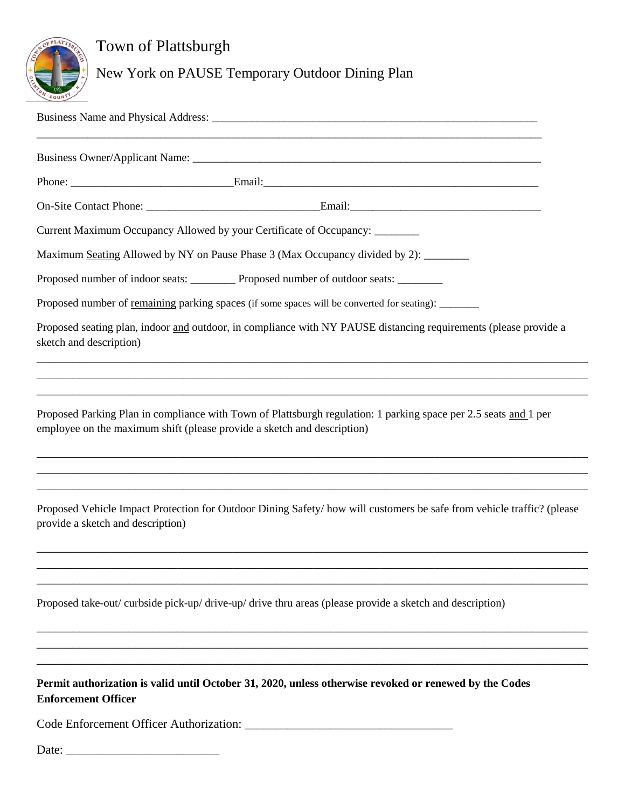

## Town of Plattsburgh

New York on PAUSE Temporary Outdoor Dining Plan

|                                   | Current Maximum Occupancy Allowed by your Certificate of Occupancy: ________                                                                                                                |
|-----------------------------------|---------------------------------------------------------------------------------------------------------------------------------------------------------------------------------------------|
|                                   | Maximum Seating Allowed by NY on Pause Phase 3 (Max Occupancy divided by 2): ______                                                                                                         |
|                                   | Proposed number of indoor seats: ___________ Proposed number of outdoor seats: ________                                                                                                     |
|                                   | Proposed number of remaining parking spaces (if some spaces will be converted for seating): _______                                                                                         |
| sketch and description)           | Proposed seating plan, indoor and outdoor, in compliance with NY PAUSE distancing requirements (please provide a                                                                            |
|                                   |                                                                                                                                                                                             |
|                                   | Proposed Parking Plan in compliance with Town of Plattsburgh regulation: 1 parking space per 2.5 seats and 1 per<br>employee on the maximum shift (please provide a sketch and description) |
|                                   |                                                                                                                                                                                             |
| provide a sketch and description) | Proposed Vehicle Impact Protection for Outdoor Dining Safety/how will customers be safe from vehicle traffic? (please                                                                       |
|                                   |                                                                                                                                                                                             |
|                                   | Proposed take-out/curbside pick-up/drive-up/drive thru areas (please provide a sketch and description)                                                                                      |
|                                   |                                                                                                                                                                                             |
|                                   | and the control of the control of the control of the control of the control of the control of the control of the                                                                            |
| <b>Enforcement Officer</b>        | Permit authorization is valid until October 31, 2020, unless otherwise revoked or renewed by the Codes                                                                                      |
|                                   |                                                                                                                                                                                             |
| Date:                             |                                                                                                                                                                                             |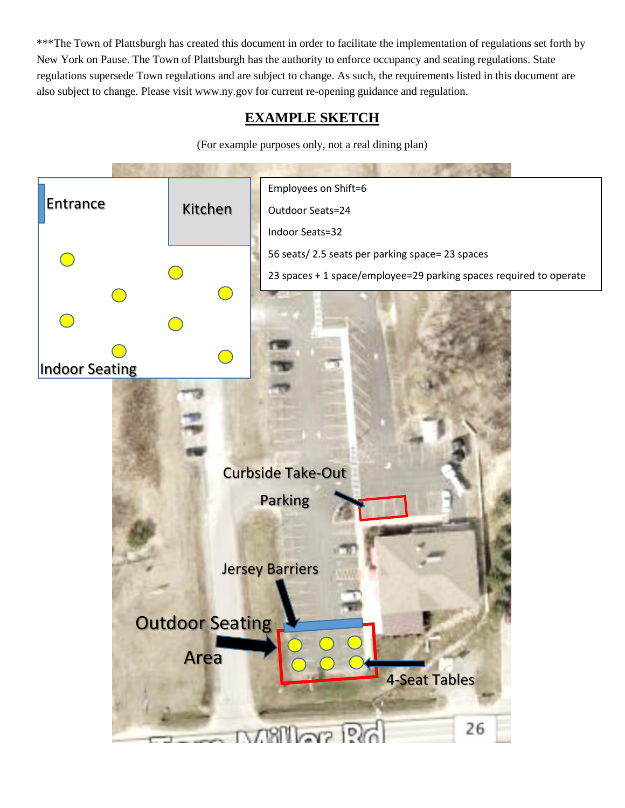\*\*\*The Town of Plattsburgh has created this document in order to facilitate the implementation of regulations set forth by New York on Pause. The Town of Plattsburgh has the authority to enforce occupancy and seating regulations. State regulations supersede Town regulations and are subject to change. As such, the requirements listed in this document are also subject to change. Please visit www.ny.gov for current re-opening guidance and regulation.

## **EXAMPLE SKETCH**

(For example purposes only, not a real dining plan)